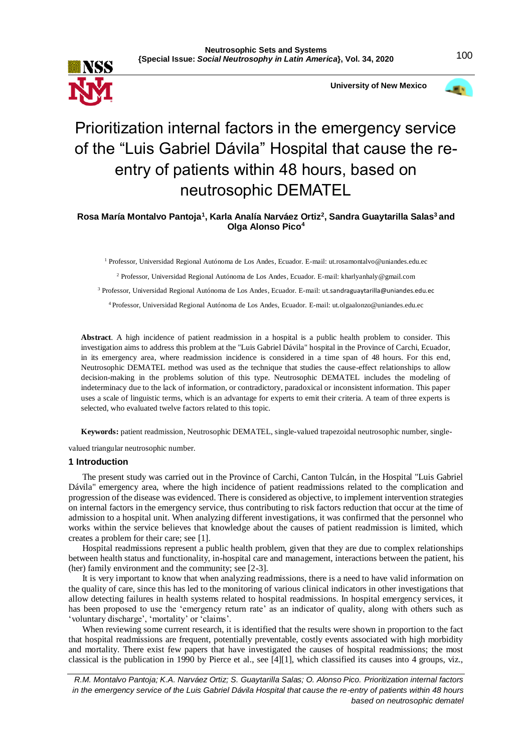



# Prioritization internal factors in the emergency service of the "Luis Gabriel Dávila" Hospital that cause the reentry of patients within 48 hours, based on neutrosophic DEMATEL

**Rosa María Montalvo Pantoja<sup>1</sup> , Karla Analía Narváez Ortiz<sup>2</sup> , Sandra Guaytarilla Salas<sup>3</sup>and Olga Alonso Pico<sup>4</sup>**

<sup>1</sup> Professor, Universidad Regional Autónoma de Los Andes, Ecuador. E-mail: ut.rosamontalvo@uniandes.edu.ec

<sup>2</sup> Professor, Universidad Regional Autónoma de Los Andes, Ecuador. E-mail: kharlyanhaly@gmail.com

<sup>3</sup> Professor, Universidad Regional Autónoma de Los Andes, Ecuador. E-mail: ut.sandraguaytarilla@uniandes.edu.ec

<sup>4</sup>Professor, Universidad Regional Autónoma de Los Andes, Ecuador. E-mail: ut.olgaalonzo@uniandes.edu.ec

**Abstract**. A high incidence of patient readmission in a hospital is a public health problem to consider. This investigation aims to address this problem at the "Luis Gabriel Dávila" hospital in the Province of Carchi, Ecuador, in its emergency area, where readmission incidence is considered in a time span of 48 hours. For this end, Neutrosophic DEMATEL method was used as the technique that studies the cause-effect relationships to allow decision-making in the problems solution of this type. Neutrosophic DEMATEL includes the modeling of indeterminacy due to the lack of information, or contradictory, paradoxical or inconsistent information. This paper uses a scale of linguistic terms, which is an advantage for experts to emit their criteria. A team of three experts is selected, who evaluated twelve factors related to this topic.

**Keywords:** patient readmission, Neutrosophic DEMATEL, single-valued trapezoidal neutrosophic number, single-

valued triangular neutrosophic number.

### **1 Introduction**

The present study was carried out in the Province of Carchi, Canton Tulcán, in the Hospital "Luis Gabriel Dávila" emergency area, where the high incidence of patient readmissions related to the complication and progression of the disease was evidenced. There is considered as objective, to implement intervention strategies on internal factors in the emergency service, thus contributing to risk factors reduction that occur at the time of admission to a hospital unit. When analyzing different investigations, it was confirmed that the personnel who works within the service believes that knowledge about the causes of patient readmission is limited, which creates a problem for their care; see [1].

Hospital readmissions represent a public health problem, given that they are due to complex relationships between health status and functionality, in-hospital care and management, interactions between the patient, his (her) family environment and the community; see [2-3].

It is very important to know that when analyzing readmissions, there is a need to have valid information on the quality of care, since this has led to the monitoring of various clinical indicators in other investigations that allow detecting failures in health systems related to hospital readmissions. In hospital emergency services, it has been proposed to use the 'emergency return rate' as an indicator of quality, along with others such as 'voluntary discharge', 'mortality' or 'claims'.

When reviewing some current research, it is identified that the results were shown in proportion to the fact that hospital readmissions are frequent, potentially preventable, costly events associated with high morbidity and mortality. There exist few papers that have investigated the causes of hospital readmissions; the most classical is the publication in 1990 by Pierce et al., see [4][1], which classified its causes into 4 groups, viz.,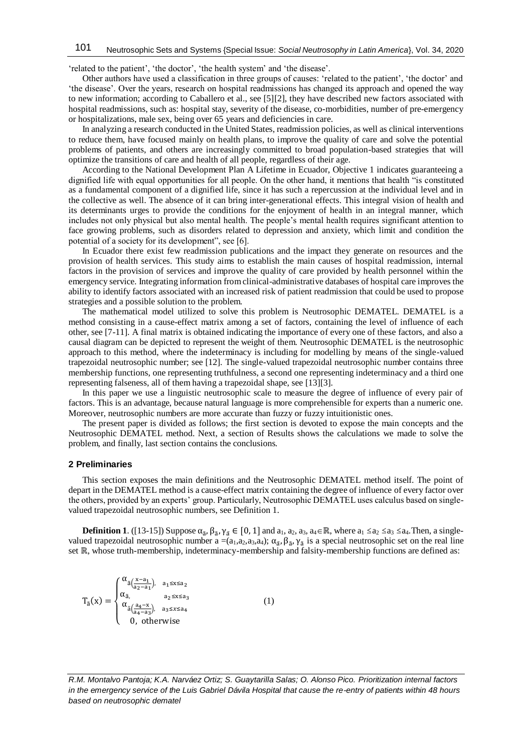'related to the patient', 'the doctor', 'the health system' and 'the disease'.

Other authors have used a classification in three groups of causes: 'related to the patient', 'the doctor' and 'the disease'. Over the years, research on hospital readmissions has changed its approach and opened the way to new information; according to Caballero et al., see [5][2], they have described new factors associated with hospital readmissions, such as: hospital stay, severity of the disease, co-morbidities, number of pre-emergency or hospitalizations, male sex, being over 65 years and deficiencies in care.

In analyzing a research conducted in the United States, readmission policies, as well as clinical interventions to reduce them, have focused mainly on health plans, to improve the quality of care and solve the potential problems of patients, and others are increasingly committed to broad population-based strategies that will optimize the transitions of care and health of all people, regardless of their age.

According to the National Development Plan A Lifetime in Ecuador, Objective 1 indicates guaranteeing a dignified life with equal opportunities for all people. On the other hand, it mentions that health "is constituted as a fundamental component of a dignified life, since it has such a repercussion at the individual level and in the collective as well. The absence of it can bring inter-generational effects. This integral vision of health and its determinants urges to provide the conditions for the enjoyment of health in an integral manner, which includes not only physical but also mental health. The people's mental health requires significant attention to face growing problems, such as disorders related to depression and anxiety, which limit and condition the potential of a society for its development", see [6].

In Ecuador there exist few readmission publications and the impact they generate on resources and the provision of health services. This study aims to establish the main causes of hospital readmission, internal factors in the provision of services and improve the quality of care provided by health personnel within the emergency service. Integrating information from clinical-administrative databases of hospital care improves the ability to identify factors associated with an increased risk of patient readmission that could be used to propose strategies and a possible solution to the problem.

The mathematical model utilized to solve this problem is Neutrosophic DEMATEL. DEMATEL is a method consisting in a cause-effect matrix among a set of factors, containing the level of influence of each other, see [7-11]. A final matrix is obtained indicating the importance of every one of these factors, and also a causal diagram can be depicted to represent the weight of them. Neutrosophic DEMATEL is the neutrosophic approach to this method, where the indeterminacy is including for modelling by means of the single-valued trapezoidal neutrosophic number; see [12]. The single-valued trapezoidal neutrosophic number contains three membership functions, one representing truthfulness, a second one representing indeterminacy and a third one representing falseness, all of them having a trapezoidal shape, see [13][3].

In this paper we use a linguistic neutrosophic scale to measure the degree of influence of every pair of factors. This is an advantage, because natural language is more comprehensible for experts than a numeric one. Moreover, neutrosophic numbers are more accurate than fuzzy or fuzzy intuitionistic ones.

The present paper is divided as follows; the first section is devoted to expose the main concepts and the Neutrosophic DEMATEL method. Next, a section of Results shows the calculations we made to solve the problem, and finally, last section contains the conclusions.

## **2 Preliminaries**

This section exposes the main definitions and the Neutrosophic DEMATEL method itself. The point of depart in the DEMATEL method is a cause-effect matrix containing the degree of influence of every factor over the others, provided by an experts' group. Particularly, Neutrosophic DEMATEL uses calculus based on singlevalued trapezoidal neutrosophic numbers, see Definition 1.

**Definition 1**. ([13-15]) Suppose  $\alpha_{\tilde{a}}$ ,  $\beta_{\tilde{a}}$ ,  $\gamma_{\tilde{a}} \in [0, 1]$  and  $a_1, a_2, a_3, a_4 \in \mathbb{R}$ , where  $a_1 \le a_2 \le a_3 \le a_4$ . Then, a singlevalued trapezoidal neutrosophic number  $a = (a_1, a_2, a_3, a_4)$ ;  $\alpha_{\tilde{a}}$ ,  $\beta_{\tilde{a}}$ ,  $\gamma_{\tilde{a}}$  is a special neutrosophic set on the real line set ℝ, whose truth-membership, indeterminacy-membership and falsity-membership functions are defined as:

$$
T_{\tilde{a}}(x) = \begin{cases} \alpha_{\tilde{a}\left(\frac{x-a_1}{a_2-a_1}\right)} & a_1 \le x \le a_2\\ \alpha_{\tilde{a}}, & a_2 \le x \le a_3\\ \alpha_{\tilde{a}\left(\frac{a_4-x}{a_4-a_3}\right)} & a_3 \le x \le a_4\\ 0, \text{ otherwise} \end{cases} \tag{1}
$$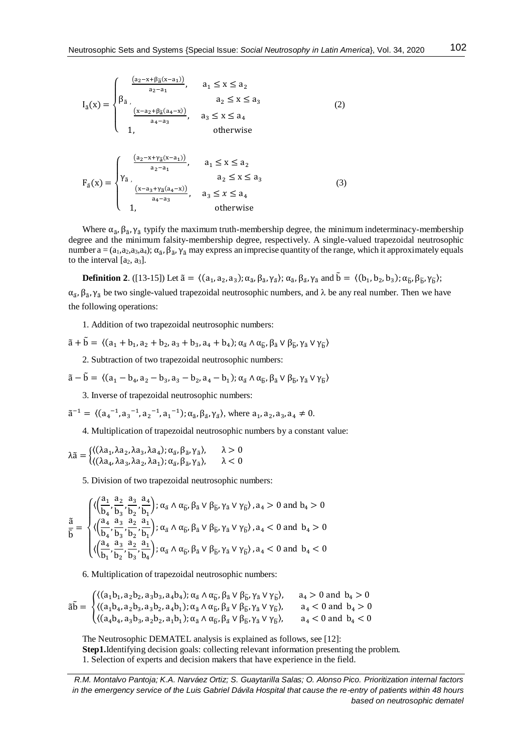$$
I_{\tilde{a}}(x) = \begin{cases} \frac{(a_2 - x + \beta_{\tilde{a}}(x - a_1))}{a_2 - a_1}, & a_1 \le x \le a_2\\ \beta_{\tilde{a}}, & a_2 \le x \le a_3\\ \frac{(x - a_2 + \beta_{\tilde{a}}(a_4 - x))}{a_4 - a_3}, & a_3 \le x \le a_4\\ 1, & \text{otherwise} \end{cases}
$$
(2)

$$
F_{\tilde{a}}(x) = \begin{cases} \frac{(a_2 - x + \gamma_{\tilde{a}}(x - a_1))}{a_2 - a_1}, & a_1 \le x \le a_2\\ \gamma_{\tilde{a}}, & a_2 \le x \le a_3\\ \frac{(x - a_3 + \gamma_{\tilde{a}}(a_4 - x))}{a_4 - a_3}, & a_3 \le x \le a_4\\ 1, & \text{otherwise} \end{cases}
$$
(3)

Where  $\alpha_{\tilde{a}}$ ,  $\beta_{\tilde{a}}$ ,  $\gamma_{\tilde{a}}$  typify the maximum truth-membership degree, the minimum indeterminacy-membership degree and the minimum falsity-membership degree, respectively. A single-valued trapezoidal neutrosophic number  $a = (a_1, a_2, a_3, a_4)$ ;  $\alpha_{\tilde{a}}$ ,  $\beta_{\tilde{a}}$ ,  $\gamma_{\tilde{a}}$  may express an imprecise quantity of the range, which it approximately equals to the interval  $[a_2, a_3]$ .

**Definition 2**. ([13-15]) Let  $\tilde{a} = \langle (a_1, a_2, a_3); \alpha_{\tilde{a}}, \beta_{\tilde{a}}, \gamma_{\tilde{a}} \rangle; \alpha_{\tilde{a}}, \beta_{\tilde{a}}, \gamma_{\tilde{a}}$  and  $\tilde{b} = \langle (b_1, b_2, b_3); \alpha_{\tilde{b}}, \beta_{\tilde{b}}, \gamma_{\tilde{b}} \rangle;$  $\alpha_{\tilde{a}}$ ,  $\beta_{\tilde{a}}$ ,  $\gamma_{\tilde{a}}$  be two single-valued trapezoidal neutrosophic numbers, and  $\lambda$  be any real number. Then we have the following operations:

1. Addition of two trapezoidal neutrosophic numbers:

 $\tilde{a} + \tilde{b} = \langle (a_1 + b_1, a_2 + b_2, a_3 + b_3, a_4 + b_4); \alpha_{\tilde{a}} \wedge \alpha_{\tilde{b}}, \beta_{\tilde{a}} \vee \beta_{\tilde{b}}, \gamma_{\tilde{a}} \vee \gamma_{\tilde{b}} \rangle$ 

2. Subtraction of two trapezoidal neutrosophic numbers:

$$
\tilde{a}-\tilde{b}=\,\langle (a_1-b_4,a_2-b_3,a_3-b_2,a_4-b_1); \alpha_{\tilde{a}}\wedge \alpha_{\tilde{b}}, \beta_{\tilde{a}}\vee \beta_{\tilde{b}}, \gamma_{\tilde{a}}\vee \gamma_{\tilde{b}}\rangle
$$

3. Inverse of trapezoidal neutrosophic numbers:

$$
\tilde{a}^{-1} = \langle (a_4^{-1}, a_3^{-1}, a_2^{-1}, a_1^{-1}); \alpha_{\tilde{a}}, \beta_{\tilde{a}}, \gamma_{\tilde{a}} \rangle, \text{ where } a_1, a_2, a_3, a_4 \neq 0.
$$

4. Multiplication of trapezoidal neutrosophic numbers by a constant value:

$$
\lambda \tilde{a} = \begin{cases}\n((\lambda a_1, \lambda a_2, \lambda a_3, \lambda a_4); \alpha_{\tilde{a}}, \beta_{\tilde{a}}, \gamma_{\tilde{a}}), & \lambda > 0 \\
((\lambda a_4, \lambda a_3, \lambda a_2, \lambda a_1); \alpha_{\tilde{a}}, \beta_{\tilde{a}}, \gamma_{\tilde{a}}), & \lambda < 0\n\end{cases}
$$

5. Division of two trapezoidal neutrosophic numbers:

$$
\frac{\tilde{a}}{\tilde{b}}=\begin{cases}\langle\Big(\frac{a_{1}}{b_{4}},\frac{a_{2}}{b_{3}},\frac{a_{3}}{b_{2}},\frac{a_{4}}{b_{1}}\Big);\alpha_{\tilde{a}}\wedge\alpha_{\tilde{b}},\beta_{\tilde{a}}\vee\beta_{\tilde{b}},\gamma_{\tilde{a}}\vee\gamma_{\tilde{b}}\rangle,a_{4}>0\text{ and }b_{4}>0\\ \langle\Big(\frac{a_{4}}{b_{4}},\frac{a_{3}}{b_{3}},\frac{a_{2}}{b_{2}},\frac{a_{1}}{b_{1}}\Big);\alpha_{\tilde{a}}\wedge\alpha_{\tilde{b}},\beta_{\tilde{a}}\vee\beta_{\tilde{b}},\gamma_{\tilde{a}}\vee\gamma_{\tilde{b}}\rangle,a_{4}<0\text{ and }b_{4}>0\\ \langle\Big(\frac{a_{4}}{b_{1}},\frac{a_{3}}{b_{2}},\frac{a_{2}}{b_{3}},\frac{a_{1}}{b_{4}}\Big);\alpha_{\tilde{a}}\wedge\alpha_{\tilde{b}},\beta_{\tilde{a}}\vee\beta_{\tilde{b}},\gamma_{\tilde{a}}\vee\gamma_{\tilde{b}}\rangle,a_{4}<0\text{ and }b_{4}<0\end{cases}
$$

6. Multiplication of trapezoidal neutrosophic numbers:

$$
\tilde{a}\tilde{b} = \begin{cases} \langle (a_1b_1, a_2b_2, a_3b_3, a_4b_4); \alpha_{\tilde{a}} \wedge \alpha_{\tilde{b}}, \beta_{\tilde{a}} \vee \beta_{\tilde{b}}, \gamma_{\tilde{a}} \vee \gamma_{\tilde{b}} \rangle, & a_4 > 0 \text{ and } b_4 > 0 \\ \langle (a_1b_4, a_2b_3, a_3b_2, a_4b_1); \alpha_{\tilde{a}} \wedge \alpha_{\tilde{b}}, \beta_{\tilde{a}} \vee \beta_{\tilde{b}}, \gamma_{\tilde{a}} \vee \gamma_{\tilde{b}} \rangle, & a_4 < 0 \text{ and } b_4 > 0 \\ \langle (a_4b_4, a_3b_3, a_2b_2, a_1b_1); \alpha_{\tilde{a}} \wedge \alpha_{\tilde{b}}, \beta_{\tilde{a}} \vee \beta_{\tilde{b}}, \gamma_{\tilde{a}} \vee \gamma_{\tilde{b}} \rangle, & a_4 < 0 \text{ and } b_4 < 0 \end{cases}
$$

The Neutrosophic DEMATEL analysis is explained as follows, see [12]: **Step1.**Identifying decision goals: collecting relevant information presenting the problem. 1. Selection of experts and decision makers that have experience in the field.

*R.M. Montalvo Pantoja; K.A. Narváez Ortiz; S. Guaytarilla Salas; O. Alonso Pico. Prioritization internal factors in the emergency service of the Luis Gabriel Dávila Hospital that cause the re-entry of patients within 48 hours based on neutrosophic dematel*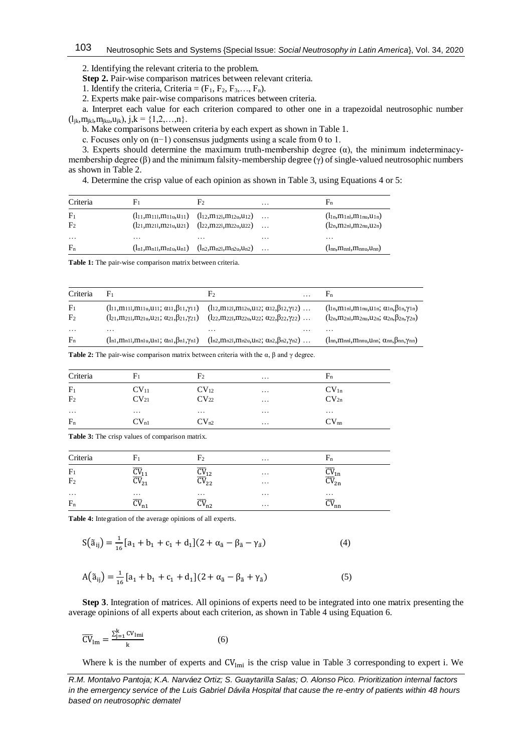2. Identifying the relevant criteria to the problem.

**Step 2.** Pair-wise comparison matrices between relevant criteria.

1. Identify the criteria, Criteria =  $(F_1, F_2, F_3, \ldots, F_n)$ .

2. Experts make pair-wise comparisons matrices between criteria.

a. Interpret each value for each criterion compared to other one in a trapezoidal neutrosophic number  $(l_{jk},m_{jkl},m_{jku},u_{jk}), j,k = \{1,2,...,n\}.$ 

b. Make comparisons between criteria by each expert as shown in Table 1.

c. Focuses only on (n−1) consensus judgments using a scale from 0 to 1.

3. Experts should determine the maximum truth-membership degree  $(\alpha)$ , the minimum indeterminacymembership degree  $(\beta)$  and the minimum falsity-membership degree  $(\gamma)$  of single-valued neutrosophic numbers as shown in Table 2.

4. Determine the crisp value of each opinion as shown in Table 3, using Equations 4 or 5:

| Criteria                         |          | F۶                                                                                                                                         | $\cdots$ | Fn                                                                      |
|----------------------------------|----------|--------------------------------------------------------------------------------------------------------------------------------------------|----------|-------------------------------------------------------------------------|
| F <sub>1</sub><br>F <sub>2</sub> |          | $(l_{11},m_{111},m_{11u},u_{11})$ $(l_{12},m_{121},m_{12u},u_{12})$<br>$(l_{21},m_{211},m_{21u},u_{21})$ $(l_{22},m_{221},m_{22u},u_{22})$ | $\cdots$ | $(l_{1n},m_{1n1},m_{1nu},u_{1n})$<br>$(l_{2n}, m_{2n}, m_{2n}, u_{2n})$ |
| $\cdots$<br>$F_n$                | $\cdots$ | $\cdots$<br>$(l_{n1},m_{n11},m_{n1u},u_{n1})$ $(l_{n2},m_{n21},m_{n2u},u_{n2})$                                                            | $\cdots$ | $\cdots$<br>$(l_{nn},m_{nnl},m_{nnu},u_{nn})$                           |

**Table 1:** The pair-wise comparison matrix between criteria.

| Criteria       | ${\rm F}_1$                                                                | ٣٥                                                                           | $\cdot$ $\cdot$ |                                                                            |
|----------------|----------------------------------------------------------------------------|------------------------------------------------------------------------------|-----------------|----------------------------------------------------------------------------|
| F <sub>1</sub> | $(l_{11}, m_{111}, m_{11u}, u_{11}; \alpha_{11}, \beta_{11}, \gamma_{11})$ | $(l_{12},m_{121},m_{12u},u_{12}; \alpha_{12},\beta_{12},\gamma_{12}) \ldots$ |                 | $(l_{1n}, m_{1n1}, m_{1nu}, u_{1n}; \alpha_{1n}, \beta_{1n}, \gamma_{1n})$ |
| F <sub>2</sub> | $(l_{21},m_{211},m_{21u},u_{21}; \alpha_{21},\beta_{21},\gamma_{21})$      | $(l_{22},m_{221},m_{22u},u_{22}; \alpha_{22},\beta_{22},\gamma_{22}) \ldots$ |                 | $(l_{2n},m_{2n},m_{2n},u_{2n}; \alpha_{2n},\beta_{2n},\gamma_{2n})$        |
| $\cdots$       | $\cdots$                                                                   | $\cdots$                                                                     | $\cdots$        | $\cdots$                                                                   |
| $F_n$          | $(l_{n1}, m_{n11}, m_{n1u}, u_{n1}; \alpha_{n1}, \beta_{n1}, \gamma_{n1})$ | $(l_{n2},m_{n21},m_{n2u},u_{n2}; \alpha_{n2},\beta_{n2},\gamma_{n2}) \ldots$ |                 | $(l_{nn},m_{nnl},m_{nnu},u_{nn}; \alpha_{nn},\beta_{nn},\gamma_{nn})$      |

**Table 2:** The pair-wise comparison matrix between criteria with the α, β and γ degree.

| Criteria       | $\rm{F}_{1}$     | F <sub>2</sub>   | $\cdots$ | $F_n$            |  |
|----------------|------------------|------------------|----------|------------------|--|
| F <sub>1</sub> | CV <sub>11</sub> | $CV_{12}$        | $\cdots$ | CV <sub>1n</sub> |  |
| F <sub>2</sub> | CV <sub>21</sub> | CV <sub>22</sub> | $\cdots$ | CV <sub>2n</sub> |  |
| $\cdots$       | $\cdots$         | $\cdots$         | $\cdots$ | $\cdots$         |  |
| $F_n$          | CV <sub>n1</sub> | CV <sub>n2</sub> | $\cdots$ | CV <sub>nn</sub> |  |

**Table 3:** The crisp values of comparison matrix.

| Criteria                         | $\rm{F}_{1}$                | F <sub>2</sub>                                              | $\cdots$             | $F_n$                                                           |  |
|----------------------------------|-----------------------------|-------------------------------------------------------------|----------------------|-----------------------------------------------------------------|--|
| F <sub>1</sub><br>F <sub>2</sub> | $\overline{\text{CV}}_{21}$ | $\underline{\text{CV}}_{12}$<br>$\overline{\text{CV}}_{22}$ | $\cdots$<br>$\cdots$ | $\mathsf{u}\mathsf{v}_\text{1n}$<br>$\overline{\text{CV}}_{2n}$ |  |
| $\cdots$<br>$F_n$                | $\cdots$<br>$CV_{n1}$       | $\cdots$<br>$\overline{\text{CV}}_{n2}$                     | $\cdots$<br>$\cdots$ | $\cdots$<br>$CV_{nn}$                                           |  |

**Table 4:** Integration of the average opinions of all experts.

$$
S(\tilde{a}_{ij}) = \frac{1}{16} [a_1 + b_1 + c_1 + d_1] (2 + \alpha_{\tilde{a}} - \beta_{\tilde{a}} - \gamma_{\tilde{a}})
$$
(4)

$$
A(\tilde{a}_{ij}) = \frac{1}{16} [a_1 + b_1 + c_1 + d_1] (2 + \alpha_{\tilde{a}} - \beta_{\tilde{a}} + \gamma_{\tilde{a}})
$$
(5)

**Step 3**. Integration of matrices. All opinions of experts need to be integrated into one matrix presenting the average opinions of all experts about each criterion, as shown in Table 4 using Equation 6.

$$
\overline{\text{CV}}_{\text{lm}} = \frac{\sum_{j=1}^{k} \text{CV}_{\text{lmi}}}{k} \tag{6}
$$

Where k is the number of experts and  $CV<sub>lmi</sub>$  is the crisp value in Table 3 corresponding to expert i. We

*R.M. Montalvo Pantoja; K.A. Narváez Ortiz; S. Guaytarilla Salas; O. Alonso Pico. Prioritization internal factors in the emergency service of the Luis Gabriel Dávila Hospital that cause the re-entry of patients within 48 hours based on neutrosophic dematel*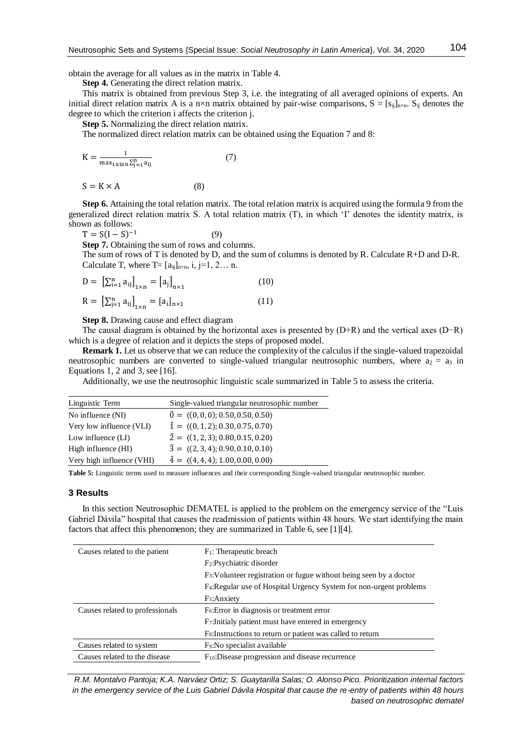obtain the average for all values as in the matrix in Table 4.

**Step 4.** Generating the direct relation matrix.

This matrix is obtained from previous Step 3, i.e. the integrating of all averaged opinions of experts. An initial direct relation matrix A is a n×n matrix obtained by pair-wise comparisons,  $S = [s_{ij}]_{n \times n}$ .  $S_{ij}$  denotes the degree to which the criterion i affects the criterion j.

**Step 5.** Normalizing the direct relation matrix.

The normalized direct relation matrix can be obtained using the Equation 7 and 8:

$$
K = \frac{1}{\max_{1 \le i \le n} \sum_{j=1}^{n} a_{ij}}\tag{7}
$$

$$
S = K \times A \tag{8}
$$

**Step 6.** Attaining the total relation matrix. The total relation matrix is acquired using the formula 9 from the generalized direct relation matrix S. A total relation matrix (T), in which 'I' denotes the identity matrix, is shown as follows:

 $T = S(I - S)^{-1}$ (9)

**Step 7.** Obtaining the sum of rows and columns.

The sum of rows of T is denoted by D, and the sum of columns is denoted by R. Calculate  $R+D$  and D-R. Calculate T, where  $T=[a_{ii}]_{n\times n}$ , i, j=1, 2... n.

$$
D = \left[\sum_{i=1}^{n} a_{ij}\right]_{1 \times n} = \left[a_{j}\right]_{n \times 1}
$$
\n
$$
R = \left[\sum_{i=1}^{n} a_{ij}\right]_{1 \times n} = \left[a_{i}\right]_{1 \times 1}
$$
\n
$$
(10)
$$
\n
$$
(11)
$$

$$
R = \left[ \sum_{j=1}^{n} a_{ij} \right]_{1 \times n} = [a_{i}]_{n \times 1}
$$
 (11)

**Step 8.** Drawing cause and effect diagram

The causal diagram is obtained by the horizontal axes is presented by (D+R) and the vertical axes (D−R) which is a degree of relation and it depicts the steps of proposed model.

**Remark 1.** Let us observe that we can reduce the complexity of the calculus if the single-valued trapezoidal neutrosophic numbers are converted to single-valued triangular neutrosophic numbers, where  $a_2 = a_3$  in Equations 1, 2 and 3, see [16].

Additionally, we use the neutrosophic linguistic scale summarized in Table 5 to assess the criteria.

| Linguistic Term           | Single-valued triangular neutrosophic number              |
|---------------------------|-----------------------------------------------------------|
| No influence (NI)         | $\tilde{0} = \langle (0,0,0); 0.50, 0.50, 0.50 \rangle$   |
| Very low influence (VLI)  | $\tilde{1} = \langle (0, 1, 2); 0.30, 0.75, 0.70 \rangle$ |
| Low influence (LI)        | $\tilde{2} = \langle (1, 2, 3); 0.80, 0.15, 0.20 \rangle$ |
| High influence (HI)       | $\tilde{3} = \langle (2,3,4); 0.90, 0.10, 0.10 \rangle$   |
| Very high influence (VHI) | $\tilde{4} = \langle (4,4,4); 1.00, 0.00, 0.00 \rangle$   |

**Table 5:** Linguistic terms used to measure influences and their corresponding Single-valued triangular neutrosophic number.

#### **3 Results**

In this section Neutrosophic DEMATEL is applied to the problem on the emergency service of the "Luis Gabriel Dávila" hospital that causes the readmission of patients within 48 hours. We start identifying the main factors that affect this phenomenon; they are summarized in Table 6, see [1][4].

| Causes related to the patient   | $F_1$ : Therapeutic breach                                                      |
|---------------------------------|---------------------------------------------------------------------------------|
|                                 | F <sub>2</sub> :Psychiatric disorder                                            |
|                                 | F <sub>3</sub> : Volunteer registration or fugue without being seen by a doctor |
|                                 | F <sub>4</sub> : Regular use of Hospital Urgency System for non-urgent problems |
|                                 | F <sub>5</sub> :Anxiety                                                         |
| Causes related to professionals | $F6$ : Error in diagnosis or treatment error                                    |
|                                 | F <sub>7</sub> : Initialy patient must have entered in emergency                |
|                                 | F <sub>8</sub> : Instructions to return or patient was called to return         |
| Causes related to system        | F <sub>9</sub> : No specialist available                                        |
| Causes related to the disease   | $F_{10}$ :Disease progression and disease recurrence                            |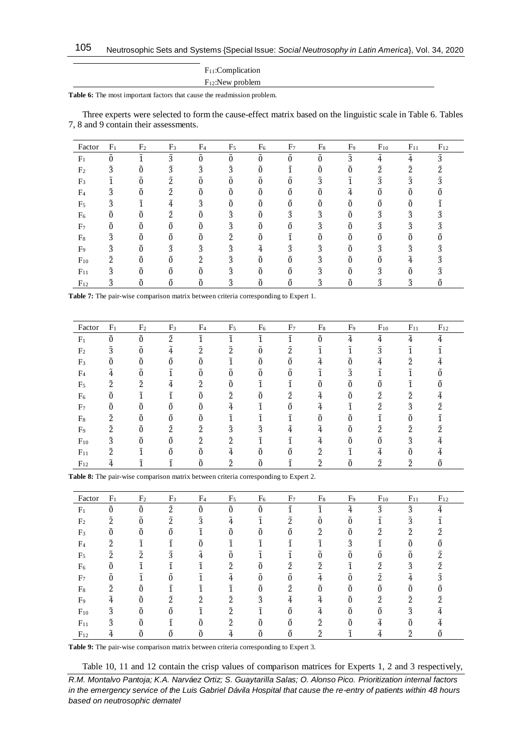| $F_{11}$ : Complication |  |
|-------------------------|--|
| $F_{12}$ :New problem   |  |

**Table 6:** The most important factors that cause the readmission problem.

Three experts were selected to form the cause-effect matrix based on the linguistic scale in Table 6. Tables 7, 8 and 9 contain their assessments.

| Factor         | F <sub>1</sub> | F <sub>2</sub> | F <sub>3</sub> | F <sub>4</sub> | F <sub>5</sub> | F <sub>6</sub> | F <sub>7</sub> | $F_8$       | F <sub>9</sub> | $F_{10}$    | $F_{11}$    | $F_{12}$    |
|----------------|----------------|----------------|----------------|----------------|----------------|----------------|----------------|-------------|----------------|-------------|-------------|-------------|
| F <sub>1</sub> |                |                | $\tilde{3}$    | $\tilde{0}$    | $\Omega$       |                |                | õ           | $\tilde{3}$    | $\tilde{4}$ | $\tilde{4}$ | $\tilde{3}$ |
| F <sub>2</sub> | $\tilde{3}$    | 0              | $\tilde{3}$    | $\tilde{3}$    | ã              |                |                |             | 0              | $\tilde{2}$ | $\tilde{2}$ |             |
| F <sub>3</sub> |                | 0              | Ĩ.             | õ              | $\Omega$       | 0              |                | 3           |                | 3           | 3           |             |
| F <sub>4</sub> | ã              | 0              | ĩ              | $\ddot{0}$     |                | $\Omega$       |                |             | 4              |             | 0           |             |
| F <sub>5</sub> | 3              |                | 4              | $\tilde{3}$    |                | $\Omega$       | Õ              |             | 0              | $\Omega$    | $\Omega$    |             |
| F <sub>6</sub> |                | õ              | ร              | õ              | Ã              | õ              | $\tilde{3}$    | Ã           | õ              | Ã           | Ã           |             |
| F <sub>7</sub> |                | 0              | 0              | õ              | ã              | 0              |                | $\tilde{3}$ | 0              | 3           | $\tilde{3}$ |             |
| $F_8$          | ã              | õ              | Õ              | õ              | $\tilde{2}$    |                |                |             | 0              |             | õ           |             |
| F <sub>9</sub> | 3              | õ              | 3              | 3              | $\tilde{3}$    | 4              | Ã              | 3           | 0              | 3           | 3           |             |
| $F_{10}$       | Õ,             | õ              | $\Omega$       | $\tilde{2}$    | $\tilde{3}$    | $\Omega$       |                | $\tilde{3}$ | 0              | 0           |             |             |
| $F_{11}$       | Ã              | õ              | õ              | õ              | $\tilde{3}$    | Õ              | ñ              | Ã           | õ              | Ã           | õ           |             |
| $F_{12}$       | 3              |                |                | 0              | 3              | $\Omega$       | 0              | 3           |                |             | ã           |             |

**Table 7:** The pair-wise comparison matrix between criteria corresponding to Expert 1.

| Factor         | F <sub>1</sub> | F <sub>2</sub>                    | F <sub>3</sub> | F <sub>4</sub> | F <sub>5</sub> | F <sub>6</sub> | F <sub>7</sub> | $F_8$                      | F <sub>9</sub> | $F_{10}$    | $F_{11}$    | $F_{12}$ |
|----------------|----------------|-----------------------------------|----------------|----------------|----------------|----------------|----------------|----------------------------|----------------|-------------|-------------|----------|
| F <sub>1</sub> | õ              | $\tilde{\phantom{a}}$<br>$\Omega$ | $\tilde{2}$    |                |                |                |                | $\tilde{\phantom{a}}$      | $\tilde{4}$    | Ã.          | $\tilde{4}$ | 4        |
| F <sub>2</sub> | 3              | $\tilde{0}$                       | $\tilde{4}$    | $\tilde{2}$    | $\tilde{2}$    | 0              | ñ              |                            | 1              | $\tilde{3}$ | 1           |          |
| F <sub>3</sub> |                | õ                                 | õ              | õ              |                | õ              |                | Ã.                         | õ              | Ã.          | $\tilde{2}$ |          |
| F <sub>4</sub> | 4              | $\Omega$                          |                | $\tilde{0}$    | $\Omega$       | O              |                |                            | $\tilde{3}$    |             |             |          |
| F <sub>5</sub> | 2              | $\tilde{2}$                       | $\tilde{4}$    | $\tilde{2}$    | Õ              | 1              |                | 0                          | $\theta$       | $\Omega$    |             |          |
| F <sub>6</sub> | 0              |                                   |                | $\Omega$       | 2              | $\Omega$       | 2              | 4                          | 0              | ž.          | Ĩ.          |          |
| F <sub>7</sub> | $\theta$       | $\Omega$                          | $\Omega$       | $\theta$       | 4              |                |                | $\tilde{\phantom{a}}$<br>4 |                | ñ           | 3           |          |
| F <sub>8</sub> | $\tilde{2}$    | $\Omega$                          | 0              | $\Omega$       |                |                |                |                            | 0              |             | õ           |          |
| F <sub>9</sub> | ñ.             |                                   | $\tilde{2}$    | $\tilde{2}$    | $\tilde{3}$    | ã              | 4              | 4                          | õ              | ñ           | $\tilde{2}$ |          |
| $F_{10}$       | 3              | $\tilde{0}$                       | õ              | $\tilde{2}$    | $\tilde{2}$    |                |                | 4                          | õ              | $\tilde{0}$ | $\tilde{3}$ |          |
| $F_{11}$       | วั             | a                                 | õ              | õ              | Ã,             | ñ              |                | $\tilde{2}$                |                | Ã.          | õ           |          |
| $F_{12}$       | 4              |                                   |                |                | $\tilde{2}$    | $\Omega$       |                | ñ                          |                | ำ           | ร           |          |

**Table 8:** The pair-wise comparison matrix between criteria corresponding to Expert 2.

| Factor         | F <sub>1</sub> | F <sub>2</sub>        | F <sub>3</sub> | F <sub>4</sub> | F <sub>5</sub> | F <sub>6</sub>                    | F <sub>7</sub> | $F_8$                      | F <sub>9</sub> | $F_{10}$    | $F_{11}$    | $F_{12}$                   |
|----------------|----------------|-----------------------|----------------|----------------|----------------|-----------------------------------|----------------|----------------------------|----------------|-------------|-------------|----------------------------|
| F <sub>1</sub> | $\tilde{0}$    | õ                     | $\tilde{2}$    | $\tilde{0}$    | $\Omega$       | õ                                 |                | ĩ                          | $\tilde{4}$    | $\tilde{3}$ | $\tilde{3}$ | $\tilde{\phantom{a}}$<br>4 |
| F <sub>2</sub> | $\tilde{2}$    | $\tilde{\phantom{a}}$ | วั             | $\tilde{3}$    | $\tilde{4}$    |                                   | ñ              |                            |                |             | $\tilde{3}$ |                            |
| F <sub>3</sub> |                | $\Omega$              | 0              |                | õ              | 0                                 |                | $\tilde{2}$                | $\theta$       | $\tilde{2}$ | $\tilde{2}$ | $\tilde{2}$                |
| F <sub>4</sub> | $\tilde{2}$    | 1                     |                | $\tilde{0}$    |                | 1                                 |                |                            | $\tilde{3}$    |             | õ           |                            |
| F <sub>5</sub> | $\tilde{2}$    | $\tilde{2}$           | $\tilde{3}$    | $\tilde{4}$    | Õ              |                                   |                |                            | 0              | $\Omega$    | õ           | $\tilde{2}$                |
| F <sub>6</sub> | Õ              | ĩ                     |                | ĩ              | Ĩ.             | õ                                 | Ĩ.             | ำ                          |                | Ĩ.          | $\tilde{3}$ | ิร                         |
| F <sub>7</sub> |                |                       | 0              |                | 4              | $\tilde{\phantom{a}}$<br>$\theta$ |                | $\tilde{\phantom{a}}$<br>4 |                | $\tilde{2}$ | 4           | $\tilde{3}$                |
| $F_8$          | $\tilde{2}$    |                       |                |                |                | 0                                 | Ő.             |                            |                | 0           |             |                            |
| F <sub>9</sub> | 4              |                       | $\tilde{2}$    | $\tilde{2}$    | $\tilde{2}$    | $\tilde{3}$                       | 4              | 4                          |                | ñ           | $\tilde{2}$ | C                          |
| $F_{10}$       | $\tilde{3}$    | õ                     | 0              | ĩ              | $\tilde{2}$    | 1                                 |                | 4                          | $\Omega$       | 0           | $\tilde{3}$ |                            |
| $F_{11}$       | $\tilde{3}$    | Õ                     |                | õ              | $\tilde{2}$    | õ                                 | ñ              | $\tilde{2}$                | Õ              | Ã.          | Õ           |                            |
| $F_{12}$       | 4              |                       |                | $\Omega$       |                | Õ                                 | ñ              | $\tilde{2}$                |                | 4           | ົ້າ         |                            |

**Table 9:** The pair-wise comparison matrix between criteria corresponding to Expert 3.

Table 10, 11 and 12 contain the crisp values of comparison matrices for Experts 1, 2 and 3 respectively,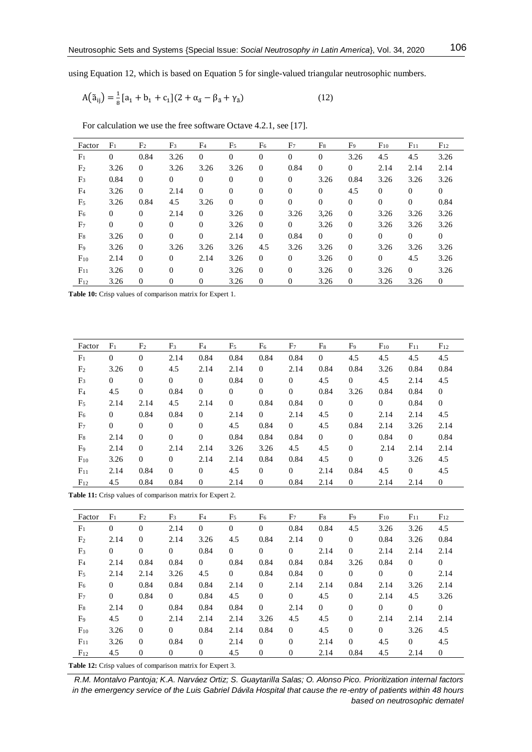using Equation 12, which is based on Equation 5 for single-valued triangular neutrosophic numbers.

$$
A(\tilde{a}_{ij}) = \frac{1}{8}[a_1 + b_1 + c_1](2 + \alpha_{\tilde{a}} - \beta_{\tilde{a}} + \gamma_{\tilde{a}})
$$
(12)

For calculation we use the free software Octave 4.2.1, see [17].

| Factor         | F <sub>1</sub> | F <sub>2</sub> | F <sub>3</sub> | F <sub>4</sub> | F <sub>5</sub>   | F <sub>6</sub>   | F <sub>7</sub> | $F_8$          | F9             | $F_{10}$ | $F_{11}$       | $F_{12}$     |
|----------------|----------------|----------------|----------------|----------------|------------------|------------------|----------------|----------------|----------------|----------|----------------|--------------|
| F <sub>1</sub> | $\overline{0}$ | 0.84           | 3.26           | $\overline{0}$ | $\theta$         | $\mathbf{0}$     | $\overline{0}$ | $\overline{0}$ | 3.26           | 4.5      | 4.5            | 3.26         |
| F <sub>2</sub> | 3.26           | $\overline{0}$ | 3.26           | 3.26           | 3.26             | $\mathbf{0}$     | 0.84           | $\mathbf{0}$   | $\theta$       | 2.14     | 2.14           | 2.14         |
| F <sub>3</sub> | 0.84           | $\overline{0}$ | $\theta$       | $\overline{0}$ | $\boldsymbol{0}$ | $\boldsymbol{0}$ | $\theta$       | 3.26           | 0.84           | 3.26     | 3.26           | 3.26         |
| F <sub>4</sub> | 3.26           | $\mathbf{0}$   | 2.14           | $\mathbf{0}$   | $\theta$         | $\theta$         | $\Omega$       | $\mathbf{0}$   | 4.5            | $\Omega$ | $\theta$       | $\mathbf{0}$ |
| F <sub>5</sub> | 3.26           | 0.84           | 4.5            | 3.26           | $\overline{0}$   | $\theta$         | $\overline{0}$ | $\mathbf{0}$   | $\mathbf{0}$   | $\theta$ | $\theta$       | 0.84         |
| F <sub>6</sub> | $\theta$       | $\mathbf{0}$   | 2.14           | $\overline{0}$ | 3.26             | $\theta$         | 3.26           | 3,26           | $\theta$       | 3.26     | 3.26           | 3.26         |
| F <sub>7</sub> | $\mathbf{0}$   | $\mathbf{0}$   | $\Omega$       | $\mathbf{0}$   | 3.26             | $\mathbf{0}$     | $\Omega$       | 3.26           | $\overline{0}$ | 3.26     | 3.26           | 3.26         |
| $F_8$          | 3.26           | $\theta$       | $\Omega$       | $\mathbf{0}$   | 2.14             | $\mathbf{0}$     | 0.84           | $\overline{0}$ | $\mathbf{0}$   | $\Omega$ | $\Omega$       | $\mathbf{0}$ |
| F <sub>9</sub> | 3.26           | $\theta$       | 3.26           | 3.26           | 3.26             | 4.5              | 3.26           | 3.26           | $\mathbf{0}$   | 3.26     | 3.26           | 3.26         |
| $F_{10}$       | 2.14           | $\theta$       | $\Omega$       | 2.14           | 3.26             | $\mathbf{0}$     | $\Omega$       | 3.26           | $\mathbf{0}$   | $\Omega$ | 4.5            | 3.26         |
| $F_{11}$       | 3.26           | $\theta$       | $\Omega$       | $\overline{0}$ | 3.26             | $\mathbf{0}$     | $\Omega$       | 3.26           | $\mathbf{0}$   | 3.26     | $\overline{0}$ | 3.26         |
| $F_{12}$       | 3.26           | $\theta$       | $\theta$       | $\overline{0}$ | 3.26             | $\mathbf{0}$     | $\mathbf{0}$   | 3.26           | $\mathbf{0}$   | 3.26     | 3.26           | $\mathbf{0}$ |

**Table 10:** Crisp values of comparison matrix for Expert 1.

| Factor         | F <sub>1</sub> | F <sub>2</sub> | F <sub>3</sub> | F <sub>4</sub>   | F <sub>5</sub> | F <sub>6</sub> | F <sub>7</sub> | $F_8$          | F <sub>9</sub> | $F_{10}$       | $F_{11}$       | $F_{12}$       |
|----------------|----------------|----------------|----------------|------------------|----------------|----------------|----------------|----------------|----------------|----------------|----------------|----------------|
| F <sub>1</sub> | $\theta$       | $\theta$       | 2.14           | 0.84             | 0.84           | 0.84           | 0.84           | $\overline{0}$ | 4.5            | 4.5            | 4.5            | 4.5            |
| F <sub>2</sub> | 3.26           | $\theta$       | 4.5            | 2.14             | 2.14           | $\overline{0}$ | 2.14           | 0.84           | 0.84           | 3.26           | 0.84           | 0.84           |
| F <sub>3</sub> | $\overline{0}$ | $\mathbf{0}$   | $\mathbf{0}$   | $\boldsymbol{0}$ | 0.84           | $\mathbf{0}$   | $\mathbf{0}$   | 4.5            | $\mathbf{0}$   | 4.5            | 2.14           | 4.5            |
| F <sub>4</sub> | 4.5            | $\theta$       | 0.84           | $\overline{0}$   | $\theta$       | $\mathbf{0}$   | $\overline{0}$ | 0.84           | 3.26           | 0.84           | 0.84           | $\mathbf{0}$   |
| F <sub>5</sub> | 2.14           | 2.14           | 4.5            | 2.14             | $\overline{0}$ | 0.84           | 0.84           | $\overline{0}$ | $\mathbf{0}$   | $\overline{0}$ | 0.84           | $\overline{0}$ |
| F <sub>6</sub> | $\Omega$       | 0.84           | 0.84           | $\overline{0}$   | 2.14           | $\overline{0}$ | 2.14           | 4.5            | $\theta$       | 2.14           | 2.14           | 4.5            |
| F <sub>7</sub> | $\mathbf{0}$   | $\theta$       | $\overline{0}$ | $\overline{0}$   | 4.5            | 0.84           | $\overline{0}$ | 4.5            | 0.84           | 2.14           | 3.26           | 2.14           |
| $F_8$          | 2.14           | $\theta$       | $\mathbf{0}$   | $\overline{0}$   | 0.84           | 0.84           | 0.84           | $\overline{0}$ | $\overline{0}$ | 0.84           | $\overline{0}$ | 0.84           |
| F <sub>9</sub> | 2.14           | $\theta$       | 2.14           | 2.14             | 3.26           | 3.26           | 4.5            | 4.5            | $\theta$       | 2.14           | 2.14           | 2.14           |
| $F_{10}$       | 3.26           | $\theta$       | $\overline{0}$ | 2.14             | 2.14           | 0.84           | 0.84           | 4.5            | $\theta$       | $\overline{0}$ | 3.26           | 4.5            |
| $F_{11}$       | 2.14           | 0.84           | $\mathbf{0}$   | $\mathbf{0}$     | 4.5            | $\theta$       | $\overline{0}$ | 2.14           | 0.84           | 4.5            | $\overline{0}$ | 4.5            |
| $F_{12}$       | 4.5            | 0.84           | 0.84           | $\overline{0}$   | 2.14           | $\overline{0}$ | 0.84           | 2.14           | $\theta$       | 2.14           | 2.14           | $\theta$       |

**Table 11:** Crisp values of comparison matrix for Expert 2.

| Factor         | F <sub>1</sub> | F <sub>2</sub> | F <sub>3</sub> | F <sub>4</sub> | F <sub>5</sub>   | F <sub>6</sub>   | F <sub>7</sub>   | $F_8$          | F <sub>9</sub> | $F_{10}$       | $F_{11}$       | $F_{12}$         |
|----------------|----------------|----------------|----------------|----------------|------------------|------------------|------------------|----------------|----------------|----------------|----------------|------------------|
| F <sub>1</sub> | $\overline{0}$ | $\theta$       | 2.14           | $\mathbf{0}$   | $\boldsymbol{0}$ | $\boldsymbol{0}$ | 0.84             | 0.84           | 4.5            | 3.26           | 3.26           | 4.5              |
| F <sub>2</sub> | 2.14           | $\overline{0}$ | 2.14           | 3.26           | 4.5              | 0.84             | 2.14             | $\theta$       | $\mathbf{0}$   | 0.84           | 3.26           | 0.84             |
| F <sub>3</sub> | $\mathbf{0}$   | $\mathbf{0}$   | $\overline{0}$ | 0.84           | $\mathbf{0}$     | $\mathbf{0}$     | $\theta$         | 2.14           | $\mathbf{0}$   | 2.14           | 2.14           | 2.14             |
| F <sub>4</sub> | 2.14           | 0.84           | 0.84           | $\overline{0}$ | 0.84             | 0.84             | 0.84             | 0.84           | 3.26           | 0.84           | $\overline{0}$ | $\theta$         |
| F <sub>5</sub> | 2.14           | 2.14           | 3.26           | 4.5            | $\mathbf{0}$     | 0.84             | 0.84             | $\overline{0}$ | $\mathbf{0}$   | $\overline{0}$ | $\overline{0}$ | 2.14             |
| F <sub>6</sub> | $\overline{0}$ | 0.84           | 0.84           | 0.84           | 2.14             | $\overline{0}$   | 2.14             | 2.14           | 0.84           | 2.14           | 3.26           | 2.14             |
| F <sub>7</sub> | $\mathbf{0}$   | 0.84           | $\overline{0}$ | 0.84           | 4.5              | $\mathbf{0}$     | $\overline{0}$   | 4.5            | $\mathbf{0}$   | 2.14           | 4.5            | 3.26             |
| $F_8$          | 2.14           | $\overline{0}$ | 0.84           | 0.84           | 0.84             | $\overline{0}$   | 2.14             | $\overline{0}$ | $\mathbf{0}$   | $\overline{0}$ | $\theta$       | 0                |
| F <sub>9</sub> | 4.5            | $\theta$       | 2.14           | 2.14           | 2.14             | 3.26             | 4.5              | 4.5            | $\mathbf{0}$   | 2.14           | 2.14           | 2.14             |
| $F_{10}$       | 3.26           | $\overline{0}$ | $\Omega$       | 0.84           | 2.14             | 0.84             | $\theta$         | 4.5            | $\mathbf{0}$   | $\theta$       | 3.26           | 4.5              |
| $F_{11}$       | 3.26           | $\overline{0}$ | 0.84           | $\overline{0}$ | 2.14             | $\overline{0}$   | $\mathbf{0}$     | 2.14           | $\mathbf{0}$   | 4.5            | $\overline{0}$ | 4.5              |
| $F_{12}$       | 4.5            | $\mathbf{0}$   | $\overline{0}$ | 0              | 4.5              | $\boldsymbol{0}$ | $\boldsymbol{0}$ | 2.14           | 0.84           | 4.5            | 2.14           | $\boldsymbol{0}$ |

**Table 12:** Crisp values of comparison matrix for Expert 3.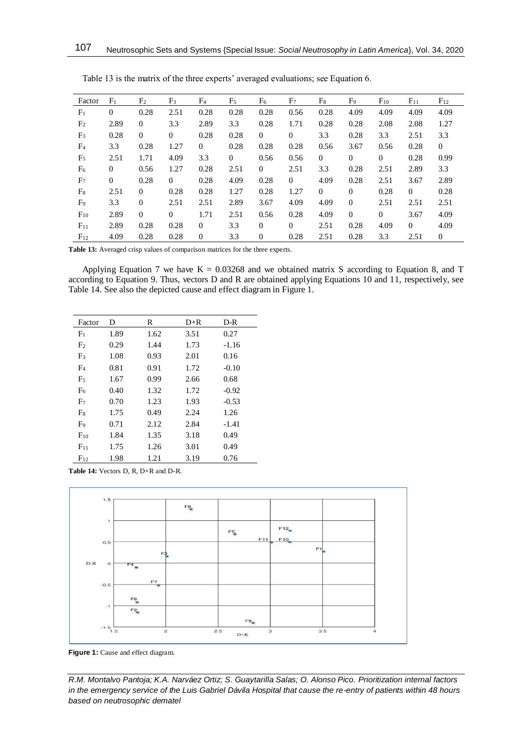| Factor         | F <sub>1</sub> | F <sub>2</sub> | F <sub>3</sub> | F <sub>4</sub> | F <sub>5</sub> | F <sub>6</sub> | F <sub>7</sub> | $F_8$        | F <sub>9</sub> | $F_{10}$     | $F_{11}$       | $F_{12}$       |
|----------------|----------------|----------------|----------------|----------------|----------------|----------------|----------------|--------------|----------------|--------------|----------------|----------------|
| F <sub>1</sub> | $\theta$       | 0.28           | 2.51           | 0.28           | 0.28           | 0.28           | 0.56           | 0.28         | 4.09           | 4.09         | 4.09           | 4.09           |
| F <sub>2</sub> | 2.89           | $\mathbf{0}$   | 3.3            | 2.89           | 3.3            | 0.28           | 1.71           | 0.28         | 0.28           | 2.08         | 2.08           | 1.27           |
| F <sub>3</sub> | 0.28           | $\mathbf{0}$   | $\theta$       | 0.28           | 0.28           | $\overline{0}$ | $\overline{0}$ | 3.3          | 0.28           | 3.3          | 2.51           | 3.3            |
| F <sub>4</sub> | 3.3            | 0.28           | 1.27           | $\overline{0}$ | 0.28           | 0.28           | 0.28           | 0.56         | 3.67           | 0.56         | 0.28           | $\mathbf{0}$   |
| F <sub>5</sub> | 2.51           | 1.71           | 4.09           | 3.3            | $\mathbf{0}$   | 0.56           | 0.56           | $\mathbf{0}$ | $\overline{0}$ | $\mathbf{0}$ | 0.28           | 0.99           |
| F <sub>6</sub> | $\overline{0}$ | 0.56           | 1.27           | 0.28           | 2.51           | $\overline{0}$ | 2.51           | 3.3          | 0.28           | 2.51         | 2.89           | 3.3            |
| F <sub>7</sub> | $\Omega$       | 0.28           | $\Omega$       | 0.28           | 4.09           | 0.28           | $\Omega$       | 4.09         | 0.28           | 2.51         | 3.67           | 2.89           |
| $F_8$          | 2.51           | $\mathbf{0}$   | 0.28           | 0.28           | 1.27           | 0.28           | 1.27           | $\theta$     | $\mathbf{0}$   | 0.28         | $\overline{0}$ | 0.28           |
| F <sub>9</sub> | 3.3            | $\theta$       | 2.51           | 2.51           | 2.89           | 3.67           | 4.09           | 4.09         | $\mathbf{0}$   | 2.51         | 2.51           | 2.51           |
| $F_{10}$       | 2.89           | $\mathbf{0}$   | $\mathbf{0}$   | 1.71           | 2.51           | 0.56           | 0.28           | 4.09         | $\mathbf{0}$   | $\mathbf{0}$ | 3.67           | 4.09           |
| $F_{11}$       | 2.89           | 0.28           | 0.28           | $\mathbf{0}$   | 3.3            | $\theta$       | $\Omega$       | 2.51         | 0.28           | 4.09         | $\theta$       | 4.09           |
| $F_{12}$       | 4.09           | 0.28           | 0.28           | $\mathbf{0}$   | 3.3            | $\mathbf{0}$   | 0.28           | 2.51         | 0.28           | 3.3          | 2.51           | $\overline{0}$ |

Table 13 is the matrix of the three experts' averaged evaluations; see Equation 6.

**Table 13:** Averaged crisp values of comparison matrices for the three experts.

Applying Equation 7 we have  $K = 0.03268$  and we obtained matrix S according to Equation 8, and T according to Equation 9. Thus, vectors D and R are obtained applying Equations 10 and 11, respectively, see Table 14. See also the depicted cause and effect diagram in Figure 1.

| Factor         | D    | R    | $D+R$ | $D-R$   |
|----------------|------|------|-------|---------|
| F <sub>1</sub> | 1.89 | 1.62 | 3.51  | 0.27    |
| F <sub>2</sub> | 0.29 | 1.44 | 1.73  | $-1.16$ |
| F <sub>3</sub> | 1.08 | 0.93 | 2.01  | 0.16    |
| F <sub>4</sub> | 0.81 | 0.91 | 1.72  | $-0.10$ |
| F <sub>5</sub> | 1.67 | 0.99 | 2.66  | 0.68    |
| F <sub>6</sub> | 0.40 | 1.32 | 1.72  | $-0.92$ |
| F <sub>7</sub> | 0.70 | 1.23 | 1.93  | $-0.53$ |
| F <sub>8</sub> | 1.75 | 0.49 | 2.24  | 1.26    |
| F <sub>9</sub> | 0.71 | 2.12 | 2.84  | $-1.41$ |
| $F_{10}$       | 1.84 | 1.35 | 3.18  | 0.49    |
| $F_{11}$       | 1.75 | 1.26 | 3.01  | 0.49    |
| $F_{12}$       | 1.98 | 1.21 | 3.19  | 0.76    |

**Table 14:** Vectors D, R, D+R and D-R.



**Figure 1:** Cause and effect diagram.

*R.M. Montalvo Pantoja; K.A. Narváez Ortiz; S. Guaytarilla Salas; O. Alonso Pico. Prioritization internal factors in the emergency service of the Luis Gabriel Dávila Hospital that cause the re-entry of patients within 48 hours based on neutrosophic dematel*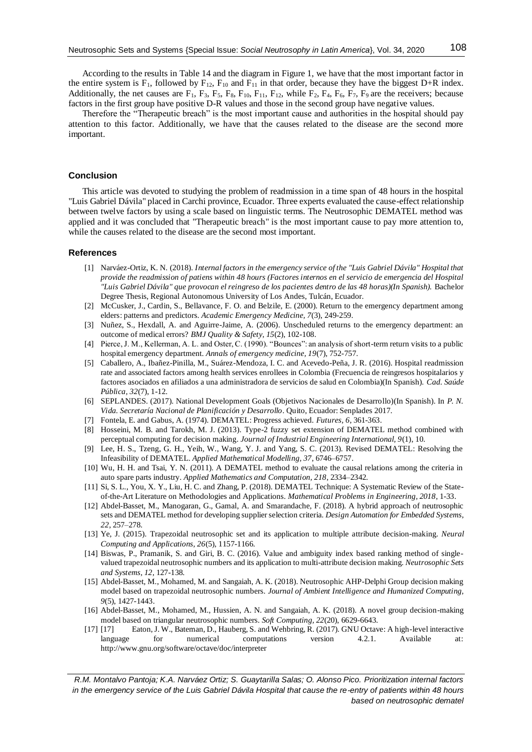Therefore the "Therapeutic breach" is the most important cause and authorities in the hospital should pay attention to this factor. Additionally, we have that the causes related to the disease are the second more important.

#### **Conclusion**

This article was devoted to studying the problem of readmission in a time span of 48 hours in the hospital "Luis Gabriel Dávila" placed in Carchi province, Ecuador. Three experts evaluated the cause-effect relationship between twelve factors by using a scale based on linguistic terms. The Neutrosophic DEMATEL method was applied and it was concluded that "Therapeutic breach" is the most important cause to pay more attention to, while the causes related to the disease are the second most important.

#### **References**

- [1] Narváez-Ortiz, K. N. (2018). *Internal factors in the emergency service of the "Luis Gabriel Dávila" Hospital that provide the readmission of patiens within 48 hours (Factores internos en el servicio de emergencia del Hospital "Luis Gabriel Dávila" que provocan el reingreso de los pacientes dentro de las 48 horas)(In Spanish).* Bachelor Degree Thesis, Regional Autonomous University of Los Andes, Tulcán, Ecuador.
- [2] McCusker, J., Cardin, S., Bellavance, F. O. and Belzile, E. (2000). Return to the emergency department among elders: patterns and predictors. *Academic Emergency Medicine, 7*(3), 249-259.
- [3] Nuñez, S., Hexdall, A. and Aguirre-Jaime, A. (2006). Unscheduled returns to the emergency department: an outcome of medical errors? *BMJ Quality & Safety, 15*(2), 102-108.
- [4] Pierce, J. M., Kellerman, A. L. and Oster, C. (1990). "Bounces": an analysis of short-term return visits to a public hospital emergency department. *Annals of emergency medicine, 19*(7), 752-757.
- [5] Caballero, A., Ibañez-Pinilla, M., Suárez-Mendoza, I. C. and Acevedo-Peña, J. R. (2016). Hospital readmission rate and associated factors among health services enrollees in Colombia (Frecuencia de reingresos hospitalarios y factores asociados en afiliados a una administradora de servicios de salud en Colombia)(In Spanish). *Cad. Saúde Pública, 32*(7), 1-12.
- [6] SEPLANDES. (2017). National Development Goals (Objetivos Nacionales de Desarrollo)(In Spanish). In *P. N. Vida. Secretaría Nacional de Planificación y Desarrollo*. Quito, Ecuador: Senplades 2017.
- [7] Fontela, E. and Gabus, A. (1974). DEMATEL: Progress achieved. *Futures, 6*, 361-363.
- [8] Hosseini, M. B. and Tarokh, M. J. (2013). Type-2 fuzzy set extension of DEMATEL method combined with perceptual computing for decision making. *Journal of Industrial Engineering International, 9*(1), 10.
- [9] Lee, H. S., Tzeng, G. H., Yeih, W., Wang, Y. J. and Yang, S. C. (2013). Revised DEMATEL: Resolving the Infeasibility of DEMATEL. *Applied Mathematical Modelling, 37*, 6746–6757.
- [10] Wu, H. H. and Tsai, Y. N. (2011). A DEMATEL method to evaluate the causal relations among the criteria in auto spare parts industry. *Applied Mathematics and Computation, 218*, 2334–2342.
- [11] Si, S. L., You, X. Y., Liu, H. C. and Zhang, P. (2018). DEMATEL Technique: A Systematic Review of the Stateof-the-Art Literature on Methodologies and Applications. *Mathematical Problems in Engineering, 2018*, 1-33.
- [12] Abdel-Basset, M., Manogaran, G., Gamal, A. and Smarandache, F. (2018). A hybrid approach of neutrosophic sets and DEMATEL method for developing supplier selection criteria. *Design Automation for Embedded Systems, 22*, 257–278.
- [13] Ye, J. (2015). Trapezoidal neutrosophic set and its application to multiple attribute decision-making. *Neural Computing and Applications, 26*(5), 1157-1166.
- [14] Biswas, P., Pramanik, S. and Giri, B. C. (2016). Value and ambiguity index based ranking method of singlevalued trapezoidal neutrosophic numbers and its application to multi-attribute decision making. *Neutrosophic Sets and Systems, 12*, 127-138.
- [15] Abdel-Basset, M., Mohamed, M. and Sangaiah, A. K. (2018). Neutrosophic AHP-Delphi Group decision making model based on trapezoidal neutrosophic numbers. *Journal of Ambient Intelligence and Humanized Computing, 9*(5), 1427-1443.
- [16] Abdel-Basset, M., Mohamed, M., Hussien, A. N. and Sangaiah, A. K. (2018). A novel group decision-making model based on triangular neutrosophic numbers. *Soft Computing, 22*(20), 6629-6643.
- [17] [17] Eaton, J. W., Bateman, D., Hauberg, S. and Wehbring, R. (2017). GNU Octave: A high-level interactive language for numerical computations version 4.2.1. Available at: <http://www.gnu.org/software/octave/doc/interpreter>